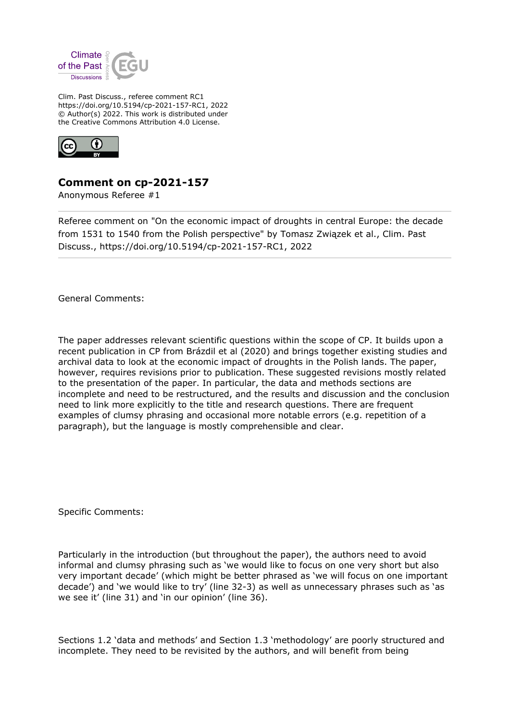

Clim. Past Discuss., referee comment RC1 https://doi.org/10.5194/cp-2021-157-RC1, 2022 © Author(s) 2022. This work is distributed under the Creative Commons Attribution 4.0 License.



## **Comment on cp-2021-157**

Anonymous Referee #1

Referee comment on "On the economic impact of droughts in central Europe: the decade from 1531 to 1540 from the Polish perspective" by Tomasz Związek et al., Clim. Past Discuss., https://doi.org/10.5194/cp-2021-157-RC1, 2022

General Comments:

The paper addresses relevant scientific questions within the scope of CP. It builds upon a recent publication in CP from Brázdil et al (2020) and brings together existing studies and archival data to look at the economic impact of droughts in the Polish lands. The paper, however, requires revisions prior to publication. These suggested revisions mostly related to the presentation of the paper. In particular, the data and methods sections are incomplete and need to be restructured, and the results and discussion and the conclusion need to link more explicitly to the title and research questions. There are frequent examples of clumsy phrasing and occasional more notable errors (e.g. repetition of a paragraph), but the language is mostly comprehensible and clear.

Specific Comments:

Particularly in the introduction (but throughout the paper), the authors need to avoid informal and clumsy phrasing such as 'we would like to focus on one very short but also very important decade' (which might be better phrased as 'we will focus on one important decade') and 'we would like to try' (line 32-3) as well as unnecessary phrases such as 'as we see it' (line 31) and 'in our opinion' (line 36).

Sections 1.2 'data and methods' and Section 1.3 'methodology' are poorly structured and incomplete. They need to be revisited by the authors, and will benefit from being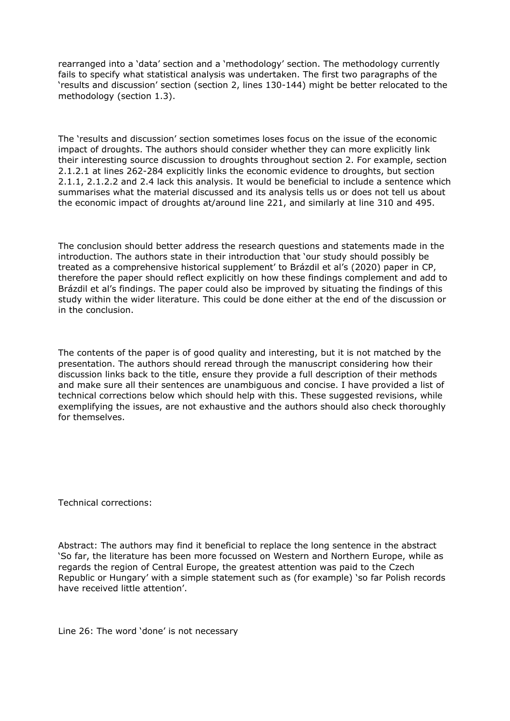rearranged into a 'data' section and a 'methodology' section. The methodology currently fails to specify what statistical analysis was undertaken. The first two paragraphs of the 'results and discussion' section (section 2, lines 130-144) might be better relocated to the methodology (section 1.3).

The 'results and discussion' section sometimes loses focus on the issue of the economic impact of droughts. The authors should consider whether they can more explicitly link their interesting source discussion to droughts throughout section 2. For example, section 2.1.2.1 at lines 262-284 explicitly links the economic evidence to droughts, but section 2.1.1, 2.1.2.2 and 2.4 lack this analysis. It would be beneficial to include a sentence which summarises what the material discussed and its analysis tells us or does not tell us about the economic impact of droughts at/around line 221, and similarly at line 310 and 495.

The conclusion should better address the research questions and statements made in the introduction. The authors state in their introduction that 'our study should possibly be treated as a comprehensive historical supplement' to Brázdil et al's (2020) paper in CP, therefore the paper should reflect explicitly on how these findings complement and add to Brázdil et al's findings. The paper could also be improved by situating the findings of this study within the wider literature. This could be done either at the end of the discussion or in the conclusion.

The contents of the paper is of good quality and interesting, but it is not matched by the presentation. The authors should reread through the manuscript considering how their discussion links back to the title, ensure they provide a full description of their methods and make sure all their sentences are unambiguous and concise. I have provided a list of technical corrections below which should help with this. These suggested revisions, while exemplifying the issues, are not exhaustive and the authors should also check thoroughly for themselves.

Technical corrections:

Abstract: The authors may find it beneficial to replace the long sentence in the abstract 'So far, the literature has been more focussed on Western and Northern Europe, while as regards the region of Central Europe, the greatest attention was paid to the Czech Republic or Hungary' with a simple statement such as (for example) 'so far Polish records have received little attention'.

Line 26: The word 'done' is not necessary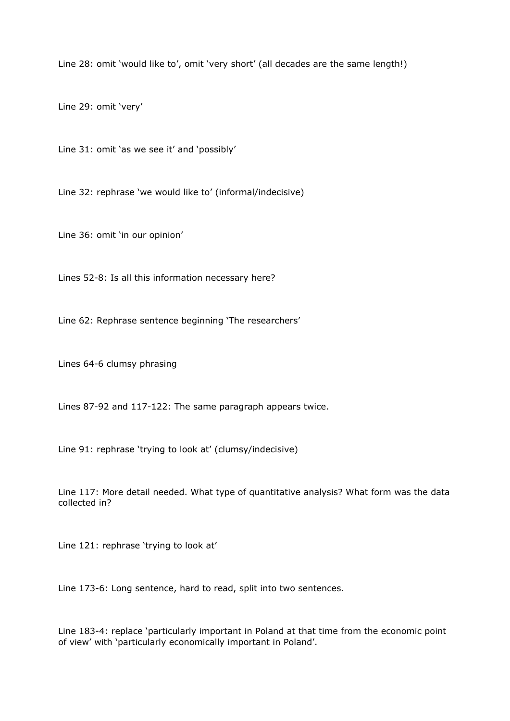Line 28: omit 'would like to', omit 'very short' (all decades are the same length!)

Line 29: omit 'very'

Line 31: omit 'as we see it' and 'possibly'

Line 32: rephrase 'we would like to' (informal/indecisive)

Line 36: omit 'in our opinion'

Lines 52-8: Is all this information necessary here?

Line 62: Rephrase sentence beginning 'The researchers'

Lines 64-6 clumsy phrasing

Lines 87-92 and 117-122: The same paragraph appears twice.

Line 91: rephrase 'trying to look at' (clumsy/indecisive)

Line 117: More detail needed. What type of quantitative analysis? What form was the data collected in?

Line 121: rephrase 'trying to look at'

Line 173-6: Long sentence, hard to read, split into two sentences.

Line 183-4: replace 'particularly important in Poland at that time from the economic point of view' with 'particularly economically important in Poland'.